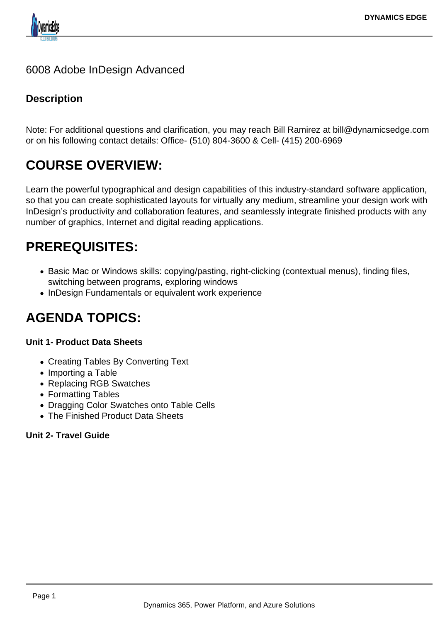

# 6008 Adobe InDesign Advanced

# **Description**

Note: For additional questions and clarification, you may reach Bill Ramirez at bill@dynamicsedge.com or on his following contact details: Office- (510) 804-3600 & Cell- (415) 200-6969

# **COURSE OVERVIEW:**

Learn the powerful typographical and design capabilities of this industry-standard software application, so that you can create sophisticated layouts for virtually any medium, streamline your design work with InDesign's productivity and collaboration features, and seamlessly integrate finished products with any number of graphics, Internet and digital reading applications.

# **PREREQUISITES:**

- Basic Mac or Windows skills: copying/pasting, right-clicking (contextual menus), finding files, switching between programs, exploring windows
- InDesign Fundamentals or equivalent work experience

# **AGENDA TOPICS:**

#### **Unit 1- Product Data Sheets**

- Creating Tables By Converting Text
- Importing a Table
- Replacing RGB Swatches
- Formatting Tables
- Dragging Color Swatches onto Table Cells
- The Finished Product Data Sheets

# **Unit 2- Travel Guide**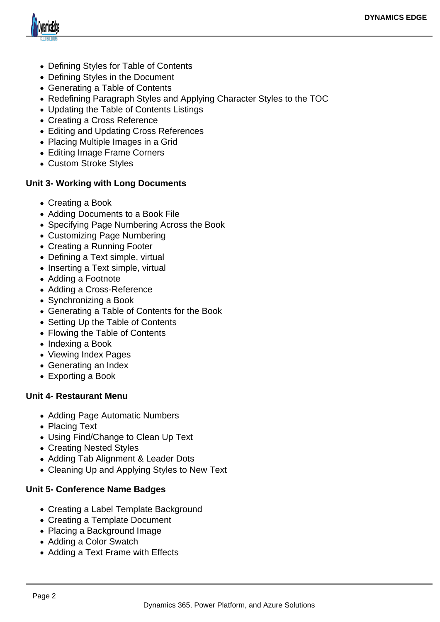

- Defining Styles for Table of Contents
- Defining Styles in the Document
- Generating a Table of Contents
- Redefining Paragraph Styles and Applying Character Styles to the TOC
- Updating the Table of Contents Listings
- Creating a Cross Reference
- Editing and Updating Cross References
- Placing Multiple Images in a Grid
- Editing Image Frame Corners
- Custom Stroke Styles

#### **Unit 3- Working with Long Documents**

- Creating a Book
- Adding Documents to a Book File
- Specifying Page Numbering Across the Book
- Customizing Page Numbering
- Creating a Running Footer
- Defining a Text simple, virtual
- Inserting a Text simple, virtual
- Adding a Footnote
- Adding a Cross-Reference
- Synchronizing a Book
- Generating a Table of Contents for the Book
- Setting Up the Table of Contents
- Flowing the Table of Contents
- Indexing a Book
- Viewing Index Pages
- Generating an Index
- Exporting a Book

#### **Unit 4- Restaurant Menu**

- Adding Page Automatic Numbers
- Placing Text
- Using Find/Change to Clean Up Text
- Creating Nested Styles
- Adding Tab Alignment & Leader Dots
- Cleaning Up and Applying Styles to New Text

# **Unit 5- Conference Name Badges**

- Creating a Label Template Background
- Creating a Template Document
- Placing a Background Image
- Adding a Color Swatch
- Adding a Text Frame with Effects